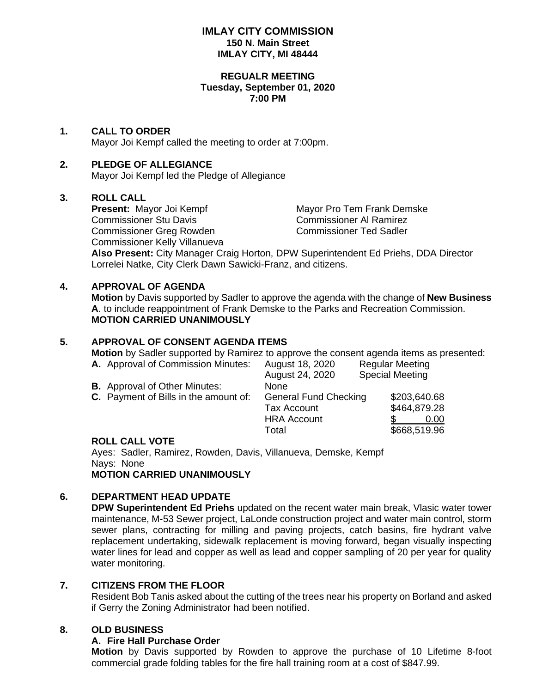### **IMLAY CITY COMMISSION 150 N. Main Street IMLAY CITY, MI 48444**

#### **REGUALR MEETING Tuesday, September 01, 2020 7:00 PM**

# **1. CALL TO ORDER**

Mayor Joi Kempf called the meeting to order at 7:00pm.

# **2. PLEDGE OF ALLEGIANCE**

Mayor Joi Kempf led the Pledge of Allegiance

## **3. ROLL CALL**

Commissioner Stu Davis Commissioner Al Ramirez Commissioner Greg Rowden Commissioner Ted Sadler Commissioner Kelly Villanueva

**Present:** Mayor Joi Kempf Mayor Pro Tem Frank Demske

**Also Present:** City Manager Craig Horton, DPW Superintendent Ed Priehs, DDA Director Lorrelei Natke, City Clerk Dawn Sawicki-Franz, and citizens.

## **4. APPROVAL OF AGENDA**

**Motion** by Davis supported by Sadler to approve the agenda with the change of **New Business A**. to include reappointment of Frank Demske to the Parks and Recreation Commission. **MOTION CARRIED UNANIMOUSLY**

# **5. APPROVAL OF CONSENT AGENDA ITEMS**

**Motion** by Sadler supported by Ramirez to approve the consent agenda items as presented:

| <b>A.</b> Approval of Commission Minutes: | August 18, 2020              | <b>Regular Meeting</b> |  |
|-------------------------------------------|------------------------------|------------------------|--|
|                                           | August 24, 2020              | <b>Special Meeting</b> |  |
| <b>B.</b> Approval of Other Minutes:      | None                         |                        |  |
| C. Payment of Bills in the amount of:     | <b>General Fund Checking</b> | \$203,640.68           |  |
|                                           | <b>Tax Account</b>           | \$464,879.28           |  |
|                                           | <b>HRA Account</b>           | 0.00                   |  |
|                                           | Total                        | \$668,519.96           |  |
|                                           |                              |                        |  |

## **ROLL CALL VOTE**

Ayes: Sadler, Ramirez, Rowden, Davis, Villanueva, Demske, Kempf Nays: None **MOTION CARRIED UNANIMOUSLY**

## **6. DEPARTMENT HEAD UPDATE**

**DPW Superintendent Ed Priehs** updated on the recent water main break, Vlasic water tower maintenance, M-53 Sewer project, LaLonde construction project and water main control, storm sewer plans, contracting for milling and paving projects, catch basins, fire hydrant valve replacement undertaking, sidewalk replacement is moving forward, began visually inspecting water lines for lead and copper as well as lead and copper sampling of 20 per year for quality water monitoring.

# **7. CITIZENS FROM THE FLOOR**

Resident Bob Tanis asked about the cutting of the trees near his property on Borland and asked if Gerry the Zoning Administrator had been notified.

## **8. OLD BUSINESS**

## **A. Fire Hall Purchase Order**

**Motion** by Davis supported by Rowden to approve the purchase of 10 Lifetime 8-foot commercial grade folding tables for the fire hall training room at a cost of \$847.99.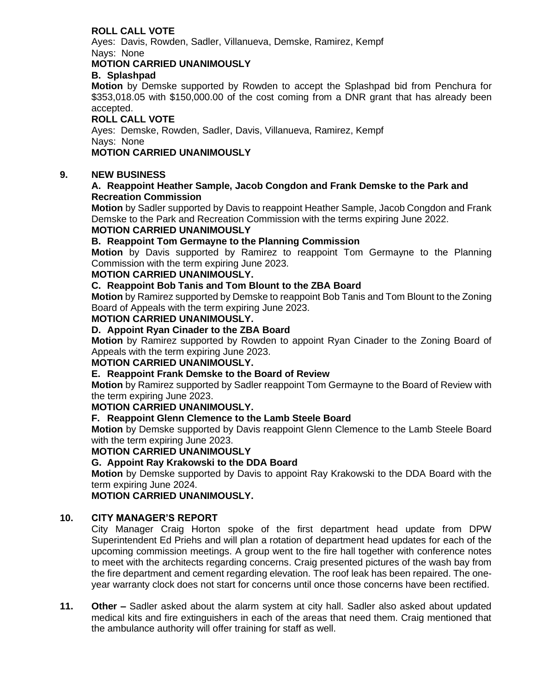# **ROLL CALL VOTE**

Ayes: Davis, Rowden, Sadler, Villanueva, Demske, Ramirez, Kempf Nays: None

### **MOTION CARRIED UNANIMOUSLY**

#### **B. Splashpad**

**Motion** by Demske supported by Rowden to accept the Splashpad bid from Penchura for \$353,018.05 with \$150,000.00 of the cost coming from a DNR grant that has already been accepted.

# **ROLL CALL VOTE**

Ayes: Demske, Rowden, Sadler, Davis, Villanueva, Ramirez, Kempf Nays: None

# **MOTION CARRIED UNANIMOUSLY**

#### **9. NEW BUSINESS**

#### **A. Reappoint Heather Sample, Jacob Congdon and Frank Demske to the Park and Recreation Commission**

**Motion** by Sadler supported by Davis to reappoint Heather Sample, Jacob Congdon and Frank Demske to the Park and Recreation Commission with the terms expiring June 2022.

# **MOTION CARRIED UNANIMOUSLY**

# **B. Reappoint Tom Germayne to the Planning Commission**

**Motion** by Davis supported by Ramirez to reappoint Tom Germayne to the Planning Commission with the term expiring June 2023.

#### **MOTION CARRIED UNANIMOUSLY.**

#### **C. Reappoint Bob Tanis and Tom Blount to the ZBA Board**

**Motion** by Ramirez supported by Demske to reappoint Bob Tanis and Tom Blount to the Zoning Board of Appeals with the term expiring June 2023.

#### **MOTION CARRIED UNANIMOUSLY.**

#### **D. Appoint Ryan Cinader to the ZBA Board**

**Motion** by Ramirez supported by Rowden to appoint Ryan Cinader to the Zoning Board of Appeals with the term expiring June 2023.

#### **MOTION CARRIED UNANIMOUSLY.**

#### **E. Reappoint Frank Demske to the Board of Review**

**Motion** by Ramirez supported by Sadler reappoint Tom Germayne to the Board of Review with the term expiring June 2023.

#### **MOTION CARRIED UNANIMOUSLY.**

## **F. Reappoint Glenn Clemence to the Lamb Steele Board**

**Motion** by Demske supported by Davis reappoint Glenn Clemence to the Lamb Steele Board with the term expiring June 2023.

#### **MOTION CARRIED UNANIMOUSLY**

#### **G. Appoint Ray Krakowski to the DDA Board**

**Motion** by Demske supported by Davis to appoint Ray Krakowski to the DDA Board with the term expiring June 2024.

**MOTION CARRIED UNANIMOUSLY.**

#### **10. CITY MANAGER'S REPORT**

City Manager Craig Horton spoke of the first department head update from DPW Superintendent Ed Priehs and will plan a rotation of department head updates for each of the upcoming commission meetings. A group went to the fire hall together with conference notes to meet with the architects regarding concerns. Craig presented pictures of the wash bay from the fire department and cement regarding elevation. The roof leak has been repaired. The oneyear warranty clock does not start for concerns until once those concerns have been rectified.

**11. Other –** Sadler asked about the alarm system at city hall. Sadler also asked about updated medical kits and fire extinguishers in each of the areas that need them. Craig mentioned that the ambulance authority will offer training for staff as well.